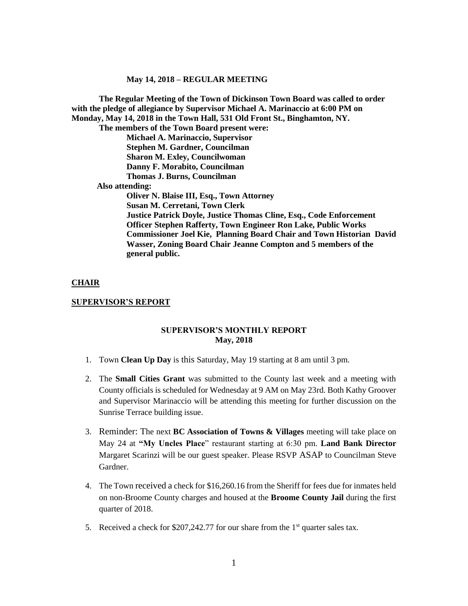**The Regular Meeting of the Town of Dickinson Town Board was called to order with the pledge of allegiance by Supervisor Michael A. Marinaccio at 6:00 PM on Monday, May 14, 2018 in the Town Hall, 531 Old Front St., Binghamton, NY. The members of the Town Board present were: Michael A. Marinaccio, Supervisor Stephen M. Gardner, Councilman Sharon M. Exley, Councilwoman Danny F. Morabito, Councilman Thomas J. Burns, Councilman Also attending: Oliver N. Blaise III, Esq., Town Attorney Susan M. Cerretani, Town Clerk Justice Patrick Doyle, Justice Thomas Cline, Esq., Code Enforcement Officer Stephen Rafferty, Town Engineer Ron Lake, Public Works Commissioner Joel Kie, Planning Board Chair and Town Historian David Wasser, Zoning Board Chair Jeanne Compton and 5 members of the general public.**

### **CHAIR**

### **SUPERVISOR'S REPORT**

### **SUPERVISOR'S MONTHLY REPORT May, 2018**

- 1. Town **Clean Up Day** is this Saturday, May 19 starting at 8 am until 3 pm.
- 2. The **Small Cities Grant** was submitted to the County last week and a meeting with County officials is scheduled for Wednesday at 9 AM on May 23rd. Both Kathy Groover and Supervisor Marinaccio will be attending this meeting for further discussion on the Sunrise Terrace building issue.
- 3. Reminder: The next **BC Association of Towns & Villages** meeting will take place on May 24 at **"My Uncles Place**" restaurant starting at 6:30 pm. **Land Bank Director** Margaret Scarinzi will be our guest speaker. Please RSVP ASAP to Councilman Steve Gardner.
- 4. The Town received a check for \$16,260.16 from the Sheriff for fees due for inmates held on non-Broome County charges and housed at the **Broome County Jail** during the first quarter of 2018.
- 5. Received a check for  $$207,242.77$  for our share from the 1<sup>st</sup> quarter sales tax.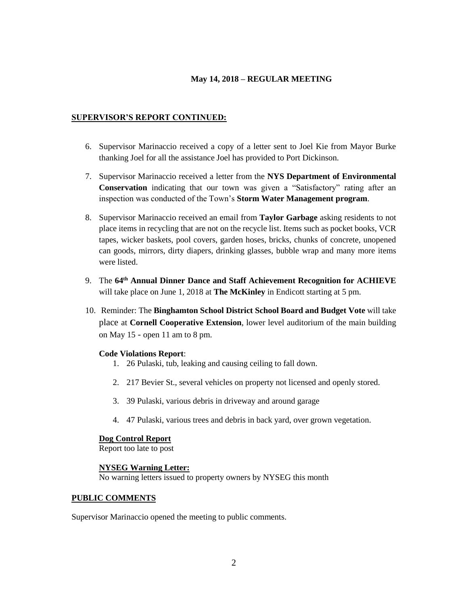## **SUPERVISOR'S REPORT CONTINUED:**

- 6. Supervisor Marinaccio received a copy of a letter sent to Joel Kie from Mayor Burke thanking Joel for all the assistance Joel has provided to Port Dickinson.
- 7. Supervisor Marinaccio received a letter from the **NYS Department of Environmental Conservation** indicating that our town was given a "Satisfactory" rating after an inspection was conducted of the Town's **Storm Water Management program**.
- 8. Supervisor Marinaccio received an email from **Taylor Garbage** asking residents to not place items in recycling that are not on the recycle list. Items such as pocket books, VCR tapes, wicker baskets, pool covers, garden hoses, bricks, chunks of concrete, unopened can goods, mirrors, dirty diapers, drinking glasses, bubble wrap and many more items were listed.
- 9. The **64th Annual Dinner Dance and Staff Achievement Recognition for ACHIEVE** will take place on June 1, 2018 at **The McKinley** in Endicott starting at 5 pm.
- 10. Reminder: The **Binghamton School District School Board and Budget Vote** will take place at **Cornell Cooperative Extension**, lower level auditorium of the main building on May 15 - open 11 am to 8 pm.

### **Code Violations Report**:

- 1. 26 Pulaski, tub, leaking and causing ceiling to fall down.
- 2. 217 Bevier St., several vehicles on property not licensed and openly stored.
- 3. 39 Pulaski, various debris in driveway and around garage
- 4. 47 Pulaski, various trees and debris in back yard, over grown vegetation.

### **Dog Control Report**

Report too late to post

### **NYSEG Warning Letter:**

No warning letters issued to property owners by NYSEG this month

### **PUBLIC COMMENTS**

Supervisor Marinaccio opened the meeting to public comments.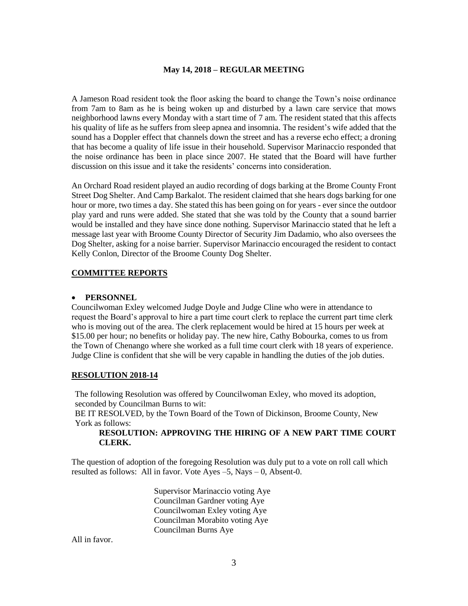A Jameson Road resident took the floor asking the board to change the Town's noise ordinance from 7am to 8am as he is being woken up and disturbed by a lawn care service that mows neighborhood lawns every Monday with a start time of 7 am. The resident stated that this affects his quality of life as he suffers from sleep apnea and insomnia. The resident's wife added that the sound has a Doppler effect that channels down the street and has a reverse echo effect; a droning that has become a quality of life issue in their household. Supervisor Marinaccio responded that the noise ordinance has been in place since 2007. He stated that the Board will have further discussion on this issue and it take the residents' concerns into consideration.

An Orchard Road resident played an audio recording of dogs barking at the Brome County Front Street Dog Shelter. And Camp Barkalot. The resident claimed that she hears dogs barking for one hour or more, two times a day. She stated this has been going on for years - ever since the outdoor play yard and runs were added. She stated that she was told by the County that a sound barrier would be installed and they have since done nothing. Supervisor Marinaccio stated that he left a message last year with Broome County Director of Security Jim Dadamio, who also oversees the Dog Shelter, asking for a noise barrier. Supervisor Marinaccio encouraged the resident to contact Kelly Conlon, Director of the Broome County Dog Shelter.

## **COMMITTEE REPORTS**

#### **PERSONNEL**

Councilwoman Exley welcomed Judge Doyle and Judge Cline who were in attendance to request the Board's approval to hire a part time court clerk to replace the current part time clerk who is moving out of the area. The clerk replacement would be hired at 15 hours per week at \$15.00 per hour; no benefits or holiday pay. The new hire, Cathy Bobourka, comes to us from the Town of Chenango where she worked as a full time court clerk with 18 years of experience. Judge Cline is confident that she will be very capable in handling the duties of the job duties.

### **RESOLUTION 2018-14**

The following Resolution was offered by Councilwoman Exley, who moved its adoption, seconded by Councilman Burns to wit:

BE IT RESOLVED, by the Town Board of the Town of Dickinson, Broome County, New York as follows:

## **RESOLUTION: APPROVING THE HIRING OF A NEW PART TIME COURT CLERK.**

The question of adoption of the foregoing Resolution was duly put to a vote on roll call which resulted as follows: All in favor. Vote Ayes  $-5$ , Nays  $-0$ , Absent-0.

> Supervisor Marinaccio voting Aye Councilman Gardner voting Aye Councilwoman Exley voting Aye Councilman Morabito voting Aye Councilman Burns Aye

All in favor.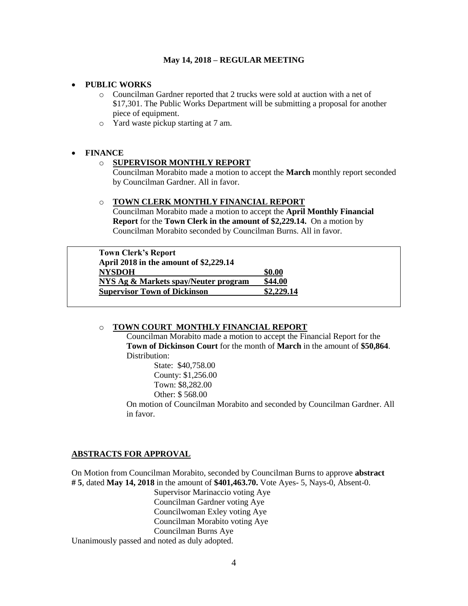## **PUBLIC WORKS**

- o Councilman Gardner reported that 2 trucks were sold at auction with a net of \$17,301. The Public Works Department will be submitting a proposal for another piece of equipment.
- o Yard waste pickup starting at 7 am.

## **FINANCE**

## o **SUPERVISOR MONTHLY REPORT**

Councilman Morabito made a motion to accept the **March** monthly report seconded by Councilman Gardner. All in favor.

### o **TOWN CLERK MONTHLY FINANCIAL REPORT**

Councilman Morabito made a motion to accept the **April Monthly Financial Report** for the **Town Clerk in the amount of \$2,229.14.** On a motion by Councilman Morabito seconded by Councilman Burns. All in favor.

**Town Clerk's Report April 2018 in the amount of \$2,229.14 NYSDOH \$0.00 NYS Ag & Markets spay/Neuter program \$44.00 Supervisor Town of Dickinson \$2,229.14**

### o **TOWN COURT MONTHLY FINANCIAL REPORT**

Councilman Morabito made a motion to accept the Financial Report for the **Town of Dickinson Court** for the month of **March** in the amount of **\$50,864**. Distribution:

> State: \$40,758.00 County: \$1,256.00 Town: \$8,282.00 Other: \$ 568.00

On motion of Councilman Morabito and seconded by Councilman Gardner. All in favor.

### **ABSTRACTS FOR APPROVAL**

On Motion from Councilman Morabito, seconded by Councilman Burns to approve **abstract # 5**, dated **May 14, 2018** in the amount of **\$401,463.70.** Vote Ayes- 5, Nays-0, Absent-0.

Supervisor Marinaccio voting Aye Councilman Gardner voting Aye Councilwoman Exley voting Aye Councilman Morabito voting Aye Councilman Burns Aye Unanimously passed and noted as duly adopted.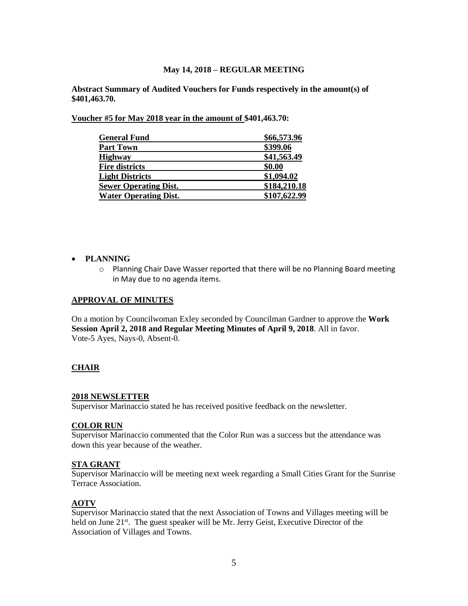**Abstract Summary of Audited Vouchers for Funds respectively in the amount(s) of \$401,463.70.** 

**Voucher #5 for May 2018 year in the amount of \$401,463.70:** 

| <b>General Fund</b>          | \$66,573.96  |
|------------------------------|--------------|
| <b>Part Town</b>             | \$399.06     |
| <b>Highway</b>               | \$41,563.49  |
| <b>Fire districts</b>        | \$0.00       |
| <b>Light Districts</b>       | \$1,094.02   |
| <b>Sewer Operating Dist.</b> | \$184,210.18 |
| <b>Water Operating Dist.</b> | \$107,622.99 |

### **PLANNING**

o Planning Chair Dave Wasser reported that there will be no Planning Board meeting in May due to no agenda items.

### **APPROVAL OF MINUTES**

On a motion by Councilwoman Exley seconded by Councilman Gardner to approve the **Work Session April 2, 2018 and Regular Meeting Minutes of April 9, 2018**. All in favor. Vote-5 Ayes, Nays-0, Absent-0.

### **CHAIR**

## **2018 NEWSLETTER**

Supervisor Marinaccio stated he has received positive feedback on the newsletter.

## **COLOR RUN**

Supervisor Marinaccio commented that the Color Run was a success but the attendance was down this year because of the weather.

#### **STA GRANT**

Supervisor Marinaccio will be meeting next week regarding a Small Cities Grant for the Sunrise Terrace Association.

## **AOTV**

Supervisor Marinaccio stated that the next Association of Towns and Villages meeting will be held on June 21<sup>st</sup>. The guest speaker will be Mr. Jerry Geist, Executive Director of the Association of Villages and Towns.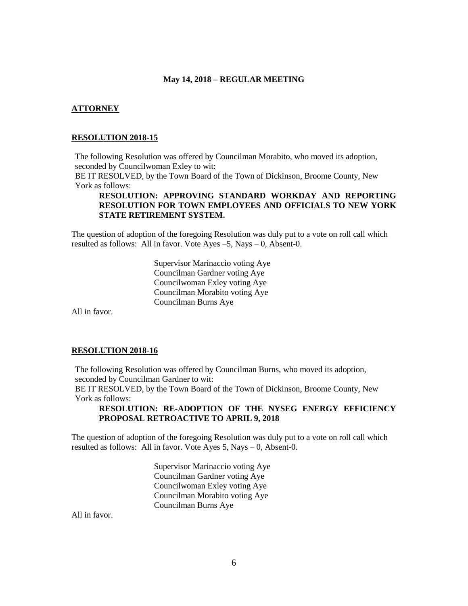### **ATTORNEY**

#### **RESOLUTION 2018-15**

The following Resolution was offered by Councilman Morabito, who moved its adoption, seconded by Councilwoman Exley to wit:

BE IT RESOLVED, by the Town Board of the Town of Dickinson, Broome County, New York as follows:

## **RESOLUTION: APPROVING STANDARD WORKDAY AND REPORTING RESOLUTION FOR TOWN EMPLOYEES AND OFFICIALS TO NEW YORK STATE RETIREMENT SYSTEM.**

The question of adoption of the foregoing Resolution was duly put to a vote on roll call which resulted as follows: All in favor. Vote Ayes –5, Nays – 0, Absent-0.

> Supervisor Marinaccio voting Aye Councilman Gardner voting Aye Councilwoman Exley voting Aye Councilman Morabito voting Aye Councilman Burns Aye

All in favor.

### **RESOLUTION 2018-16**

The following Resolution was offered by Councilman Burns, who moved its adoption, seconded by Councilman Gardner to wit:

BE IT RESOLVED, by the Town Board of the Town of Dickinson, Broome County, New York as follows:

## **RESOLUTION: RE-ADOPTION OF THE NYSEG ENERGY EFFICIENCY PROPOSAL RETROACTIVE TO APRIL 9, 2018**

The question of adoption of the foregoing Resolution was duly put to a vote on roll call which resulted as follows: All in favor. Vote Ayes 5, Nays – 0, Absent-0.

> Supervisor Marinaccio voting Aye Councilman Gardner voting Aye Councilwoman Exley voting Aye Councilman Morabito voting Aye Councilman Burns Aye

All in favor.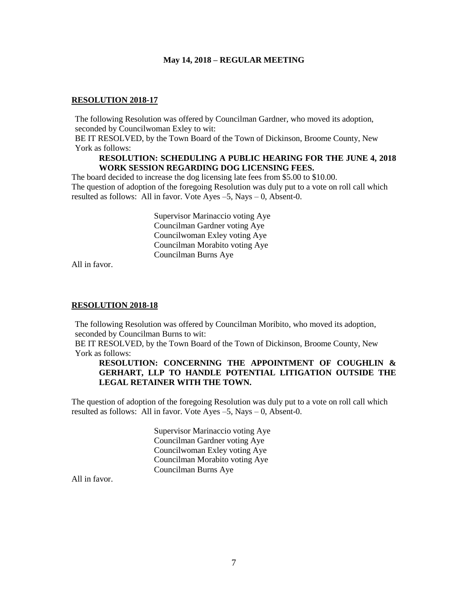### **RESOLUTION 2018-17**

The following Resolution was offered by Councilman Gardner, who moved its adoption, seconded by Councilwoman Exley to wit:

BE IT RESOLVED, by the Town Board of the Town of Dickinson, Broome County, New York as follows:

## **RESOLUTION: SCHEDULING A PUBLIC HEARING FOR THE JUNE 4, 2018 WORK SESSION REGARDING DOG LICENSING FEES.**

The board decided to increase the dog licensing late fees from \$5.00 to \$10.00. The question of adoption of the foregoing Resolution was duly put to a vote on roll call which resulted as follows: All in favor. Vote Ayes  $-5$ , Nays  $-0$ , Absent-0.

> Supervisor Marinaccio voting Aye Councilman Gardner voting Aye Councilwoman Exley voting Aye Councilman Morabito voting Aye Councilman Burns Aye

All in favor.

#### **RESOLUTION 2018-18**

The following Resolution was offered by Councilman Moribito, who moved its adoption, seconded by Councilman Burns to wit:

BE IT RESOLVED, by the Town Board of the Town of Dickinson, Broome County, New York as follows:

## **RESOLUTION: CONCERNING THE APPOINTMENT OF COUGHLIN & GERHART, LLP TO HANDLE POTENTIAL LITIGATION OUTSIDE THE LEGAL RETAINER WITH THE TOWN.**

The question of adoption of the foregoing Resolution was duly put to a vote on roll call which resulted as follows: All in favor. Vote Ayes –5, Nays – 0, Absent-0.

> Supervisor Marinaccio voting Aye Councilman Gardner voting Aye Councilwoman Exley voting Aye Councilman Morabito voting Aye Councilman Burns Aye

All in favor.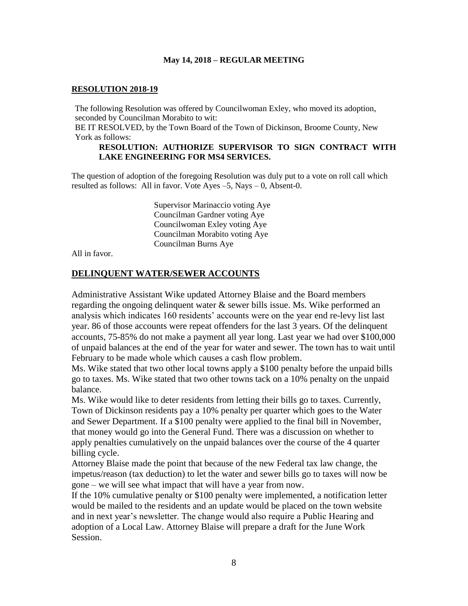## **RESOLUTION 2018-19**

The following Resolution was offered by Councilwoman Exley, who moved its adoption, seconded by Councilman Morabito to wit:

BE IT RESOLVED, by the Town Board of the Town of Dickinson, Broome County, New York as follows:

## **RESOLUTION: AUTHORIZE SUPERVISOR TO SIGN CONTRACT WITH LAKE ENGINEERING FOR MS4 SERVICES.**

The question of adoption of the foregoing Resolution was duly put to a vote on roll call which resulted as follows: All in favor. Vote Ayes  $-5$ , Nays  $-0$ , Absent-0.

> Supervisor Marinaccio voting Aye Councilman Gardner voting Aye Councilwoman Exley voting Aye Councilman Morabito voting Aye Councilman Burns Aye

All in favor.

## **DELINQUENT WATER/SEWER ACCOUNTS**

Administrative Assistant Wike updated Attorney Blaise and the Board members regarding the ongoing delinquent water & sewer bills issue. Ms. Wike performed an analysis which indicates 160 residents' accounts were on the year end re-levy list last year. 86 of those accounts were repeat offenders for the last 3 years. Of the delinquent accounts, 75-85% do not make a payment all year long. Last year we had over \$100,000 of unpaid balances at the end of the year for water and sewer. The town has to wait until February to be made whole which causes a cash flow problem.

Ms. Wike stated that two other local towns apply a \$100 penalty before the unpaid bills go to taxes. Ms. Wike stated that two other towns tack on a 10% penalty on the unpaid balance.

Ms. Wike would like to deter residents from letting their bills go to taxes. Currently, Town of Dickinson residents pay a 10% penalty per quarter which goes to the Water and Sewer Department. If a \$100 penalty were applied to the final bill in November, that money would go into the General Fund. There was a discussion on whether to apply penalties cumulatively on the unpaid balances over the course of the 4 quarter billing cycle.

Attorney Blaise made the point that because of the new Federal tax law change, the impetus/reason (tax deduction) to let the water and sewer bills go to taxes will now be gone – we will see what impact that will have a year from now.

If the 10% cumulative penalty or \$100 penalty were implemented, a notification letter would be mailed to the residents and an update would be placed on the town website and in next year's newsletter. The change would also require a Public Hearing and adoption of a Local Law. Attorney Blaise will prepare a draft for the June Work Session.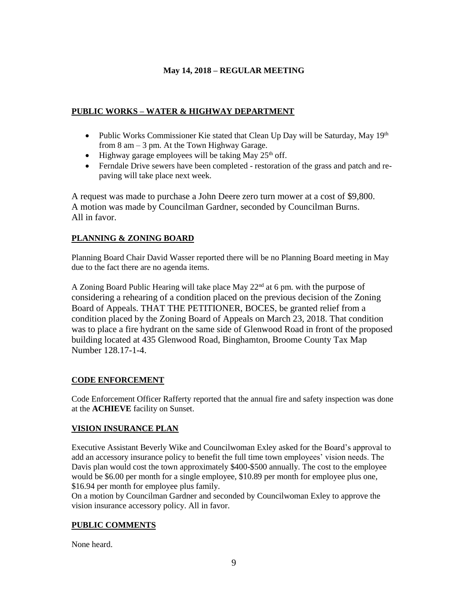## **PUBLIC WORKS – WATER & HIGHWAY DEPARTMENT**

- Public Works Commissioner Kie stated that Clean Up Day will be Saturday, May 19th from 8 am – 3 pm. At the Town Highway Garage.
- $\bullet$  Highway garage employees will be taking May 25<sup>th</sup> off.
- Ferndale Drive sewers have been completed restoration of the grass and patch and repaving will take place next week.

A request was made to purchase a John Deere zero turn mower at a cost of \$9,800. A motion was made by Councilman Gardner, seconded by Councilman Burns. All in favor.

## **PLANNING & ZONING BOARD**

Planning Board Chair David Wasser reported there will be no Planning Board meeting in May due to the fact there are no agenda items.

A Zoning Board Public Hearing will take place May  $22<sup>nd</sup>$  at 6 pm, with the purpose of considering a rehearing of a condition placed on the previous decision of the Zoning Board of Appeals. THAT THE PETITIONER, BOCES, be granted relief from a condition placed by the Zoning Board of Appeals on March 23, 2018. That condition was to place a fire hydrant on the same side of Glenwood Road in front of the proposed building located at 435 Glenwood Road, Binghamton, Broome County Tax Map Number 128.17-1-4.

## **CODE ENFORCEMENT**

Code Enforcement Officer Rafferty reported that the annual fire and safety inspection was done at the **ACHIEVE** facility on Sunset.

## **VISION INSURANCE PLAN**

Executive Assistant Beverly Wike and Councilwoman Exley asked for the Board's approval to add an accessory insurance policy to benefit the full time town employees' vision needs. The Davis plan would cost the town approximately \$400-\$500 annually. The cost to the employee would be \$6.00 per month for a single employee, \$10.89 per month for employee plus one, \$16.94 per month for employee plus family.

On a motion by Councilman Gardner and seconded by Councilwoman Exley to approve the vision insurance accessory policy. All in favor.

## **PUBLIC COMMENTS**

None heard.